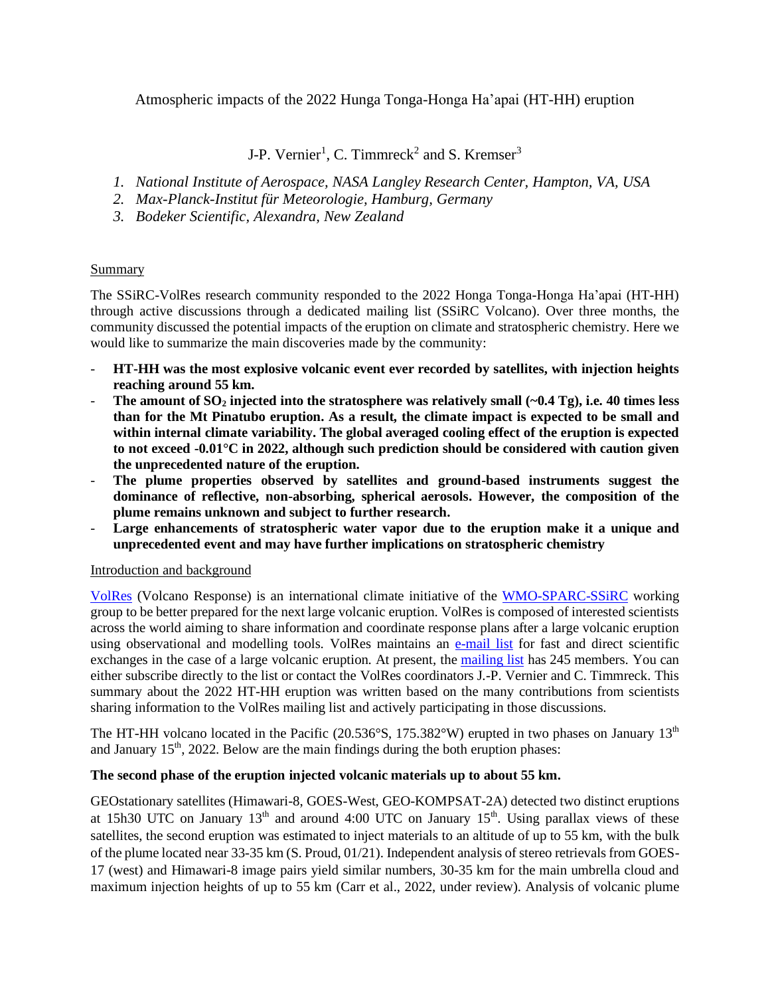Atmospheric impacts of the 2022 Hunga Tonga-Honga Ha'apai (HT-HH) eruption

J-P. Vernier<sup>1</sup>, C. Timmreck<sup>2</sup> and S. Kremser<sup>3</sup>

- *1. National Institute of Aerospace, NASA Langley Research Center, Hampton, VA, USA*
- *2. Max-Planck-Institut für Meteorologie, Hamburg, Germany*
- *3. Bodeker Scientific, Alexandra, New Zealand*

## Summary

The SSiRC-VolRes research community responded to the 2022 Honga Tonga-Honga Ha'apai (HT-HH) through active discussions through a dedicated mailing list (SSiRC Volcano). Over three months, the community discussed the potential impacts of the eruption on climate and stratospheric chemistry. Here we would like to summarize the main discoveries made by the community:

- **HT-HH was the most explosive volcanic event ever recorded by satellites, with injection heights reaching around 55 km.**
- The amount of  $SO_2$  injected into the stratosphere was relatively small  $(-0.4 \text{ Tg})$ , i.e. 40 times less **than for the Mt Pinatubo eruption. As a result, the climate impact is expected to be small and within internal climate variability. The global averaged cooling effect of the eruption is expected to not exceed -0.01°C in 2022, although such prediction should be considered with caution given the unprecedented nature of the eruption.**
- **The plume properties observed by satellites and ground-based instruments suggest the dominance of reflective, non-absorbing, spherical aerosols. However, the composition of the plume remains unknown and subject to further research.**
- **Large enhancements of stratospheric water vapor due to the eruption make it a unique and unprecedented event and may have further implications on stratospheric chemistry**

## Introduction and background

[VolRes](https://wiki.earthdata.nasa.gov/display/volres) (Volcano Response) is an international climate initiative of the [WMO-SPARC-SSiRC](http://www.sparc-ssirc.org/) working group to be better prepared for the next large volcanic eruption. VolRes is composed of interested scientists across the world aiming to share information and coordinate response plans after a large volcanic eruption using observational and modelling tools. VolRes maintains an [e-mail](mailto:ssircvolcano@mpimet.mpg.de) list for fast and direct scientific exchanges in the case of a large volcanic eruption. At present, the [mailing list](https://listserv.gwdg.de/mailman/listinfo/ssircvolcano) has 245 members. You can either subscribe directly to the list or contact the VolRes coordinators J.-P. Vernier and C. Timmreck. This summary about the 2022 HT-HH eruption was written based on the many contributions from scientists sharing information to the VolRes mailing list and actively participating in those discussions.

The HT-HH volcano located in the Pacific (20.536°S, 175.382°W) erupted in two phases on January  $13<sup>th</sup>$ and January  $15<sup>th</sup>$ , 2022. Below are the main findings during the both eruption phases:

# **The second phase of the eruption injected volcanic materials up to about 55 km.**

GEOstationary satellites (Himawari-8, GOES-West, GEO-KOMPSAT-2A) detected two distinct eruptions at 15h30 UTC on January  $13<sup>th</sup>$  and around 4:00 UTC on January  $15<sup>th</sup>$ . Using parallax views of these satellites, the second eruption was estimated to inject materials to an altitude of up to 55 km, with the bulk of the plume located near 33-35 km (S. Proud, 01/21). Independent analysis of stereo retrievals from GOES-17 (west) and Himawari-8 image pairs yield similar numbers, 30-35 km for the main umbrella cloud and maximum injection heights of up to 55 km (Carr et al., 2022, under review). Analysis of volcanic plume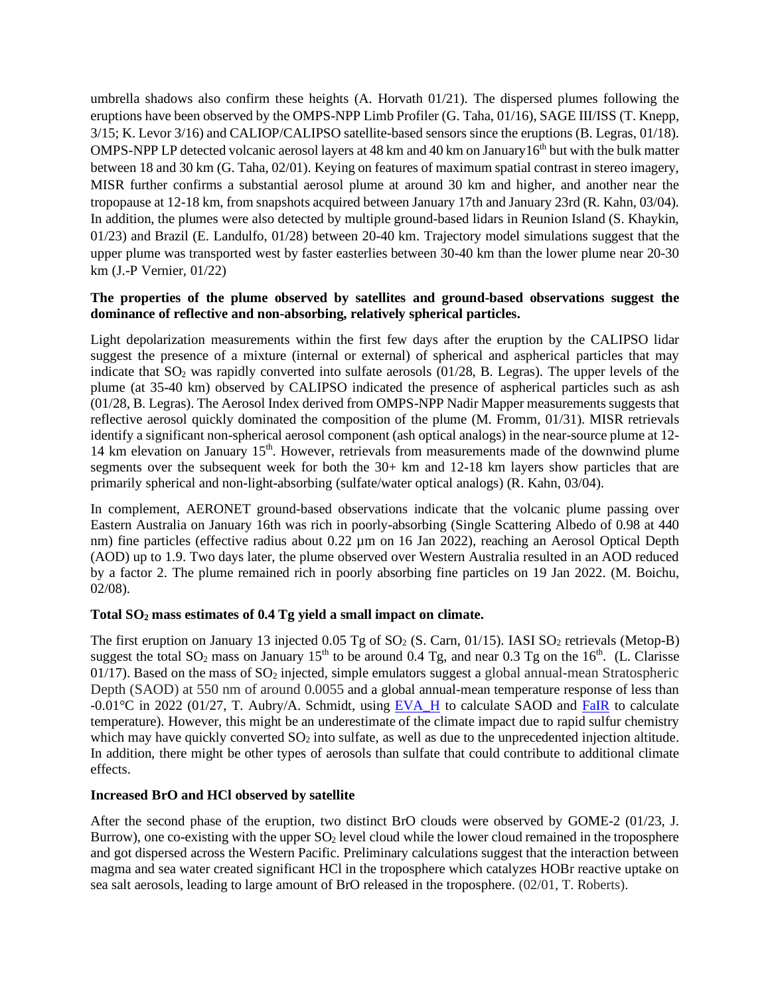umbrella shadows also confirm these heights  $(A.$  Horvath  $01/21$ . The dispersed plumes following the eruptions have been observed by the OMPS-NPP Limb Profiler (G. Taha, 01/16), SAGE III/ISS (T. Knepp, 3/15; K. Levor 3/16) and CALIOP/CALIPSO satellite-based sensors since the eruptions (B. Legras, 01/18). OMPS-NPP LP detected volcanic aerosol layers at 48 km and 40 km on January  $16<sup>th</sup>$  but with the bulk matter between 18 and 30 km (G. Taha, 02/01). Keying on features of maximum spatial contrast in stereo imagery, MISR further confirms a substantial aerosol plume at around 30 km and higher, and another near the tropopause at 12-18 km, from snapshots acquired between January 17th and January 23rd (R. Kahn, 03/04). In addition, the plumes were also detected by multiple ground-based lidars in Reunion Island (S. Khaykin, 01/23) and Brazil (E. Landulfo, 01/28) between 20-40 km. Trajectory model simulations suggest that the upper plume was transported west by faster easterlies between 30-40 km than the lower plume near 20-30 km (J.-P Vernier, 01/22)

## **The properties of the plume observed by satellites and ground-based observations suggest the dominance of reflective and non-absorbing, relatively spherical particles.**

Light depolarization measurements within the first few days after the eruption by the CALIPSO lidar suggest the presence of a mixture (internal or external) of spherical and aspherical particles that may indicate that  $SO_2$  was rapidly converted into sulfate aerosols (01/28, B. Legras). The upper levels of the plume (at 35-40 km) observed by CALIPSO indicated the presence of aspherical particles such as ash (01/28, B. Legras). The Aerosol Index derived from OMPS-NPP Nadir Mapper measurements suggests that reflective aerosol quickly dominated the composition of the plume (M. Fromm, 01/31). MISR retrievals identify a significant non-spherical aerosol component (ash optical analogs) in the near-source plume at 12- 14 km elevation on January 15<sup>th</sup>. However, retrievals from measurements made of the downwind plume segments over the subsequent week for both the 30+ km and 12-18 km layers show particles that are primarily spherical and non-light-absorbing (sulfate/water optical analogs) (R. Kahn, 03/04).

In complement, AERONET ground-based observations indicate that the volcanic plume passing over Eastern Australia on January 16th was rich in poorly-absorbing (Single Scattering Albedo of 0.98 at 440 nm) fine particles (effective radius about 0.22 µm on 16 Jan 2022), reaching an Aerosol Optical Depth (AOD) up to 1.9. Two days later, the plume observed over Western Australia resulted in an AOD reduced by a factor 2. The plume remained rich in poorly absorbing fine particles on 19 Jan 2022. (M. Boichu, 02/08).

## **Total SO<sup>2</sup> mass estimates of 0.4 Tg yield a small impact on climate.**

The first eruption on January 13 injected  $0.05$  Tg of SO<sub>2</sub> (S. Carn, 01/15). IASI SO<sub>2</sub> retrievals (Metop-B) suggest the total  $SO_2$  mass on January 15<sup>th</sup> to be around 0.4 Tg, and near 0.3 Tg on the 16<sup>th</sup>. (L. Clarisse 01/17). Based on the mass of  $SO_2$  injected, simple emulators suggest a global annual-mean Stratospheric Depth (SAOD) at 550 nm of around 0.0055 and a global annual-mean temperature response of less than  $-0.01^{\circ}\text{C}$  in 2022 (01/27, T. Aubry/A. Schmidt, using **EVA\_H** to calculate SAOD and [FaIR](https://github.com/OMS-NetZero/FAIR) to calculate temperature). However, this might be an underestimate of the climate impact due to rapid sulfur chemistry which may have quickly converted  $SO<sub>2</sub>$  into sulfate, as well as due to the unprecedented injection altitude. In addition, there might be other types of aerosols than sulfate that could contribute to additional climate effects.

## **Increased BrO and HCl observed by satellite**

After the second phase of the eruption, two distinct BrO clouds were observed by GOME-2 (01/23, J. Burrow), one co-existing with the upper  $SO<sub>2</sub>$  level cloud while the lower cloud remained in the troposphere and got dispersed across the Western Pacific. Preliminary calculations suggest that the interaction between magma and sea water created significant HCl in the troposphere which catalyzes HOBr reactive uptake on sea salt aerosols, leading to large amount of BrO released in the troposphere. (02/01, T. Roberts).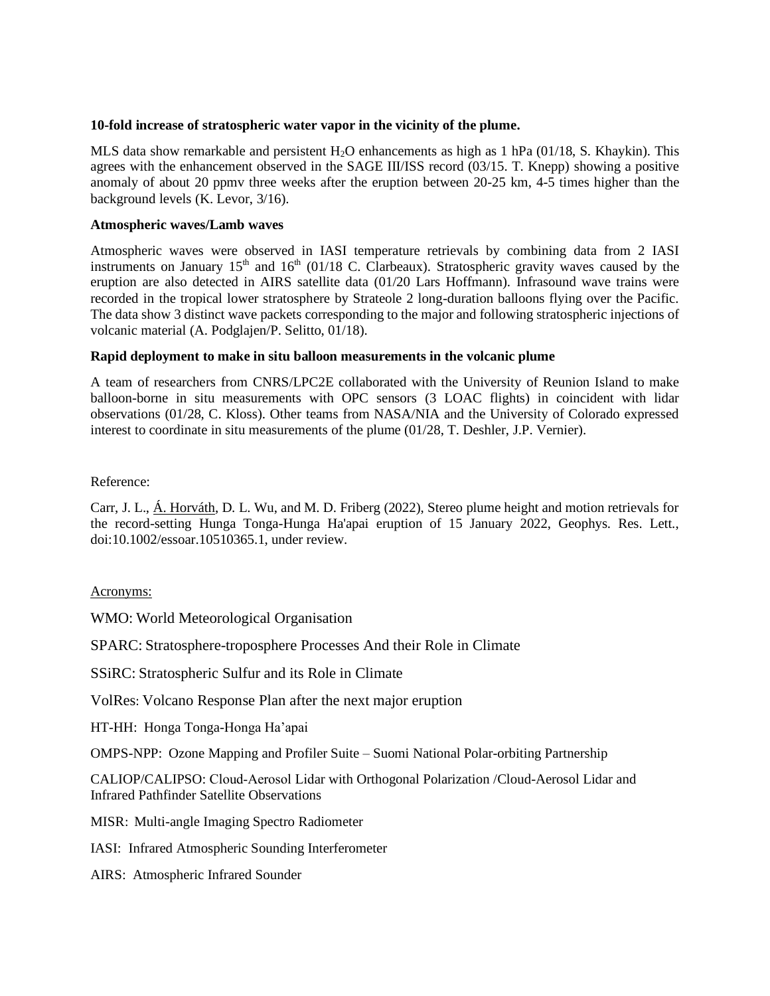#### **10-fold increase of stratospheric water vapor in the vicinity of the plume.**

MLS data show remarkable and persistent H2O enhancements as high as 1 hPa (01/18, S. Khaykin). This agrees with the enhancement observed in the SAGE III/ISS record (03/15. T. Knepp) showing a positive anomaly of about 20 ppmv three weeks after the eruption between 20-25 km, 4-5 times higher than the background levels (K. Levor, 3/16).

#### **Atmospheric waves/Lamb waves**

Atmospheric waves were observed in IASI temperature retrievals by combining data from 2 IASI instruments on January 15<sup>th</sup> and 16<sup>th</sup> (01/18 C. Clarbeaux). Stratospheric gravity waves caused by the eruption are also detected in AIRS satellite data (01/20 Lars Hoffmann). Infrasound wave trains were recorded in the tropical lower stratosphere by Strateole 2 long-duration balloons flying over the Pacific. The data show 3 distinct wave packets corresponding to the major and following stratospheric injections of volcanic material (A. Podglajen/P. Selitto, 01/18).

#### **Rapid deployment to make in situ balloon measurements in the volcanic plume**

A team of researchers from CNRS/LPC2E collaborated with the University of Reunion Island to make balloon-borne in situ measurements with OPC sensors (3 LOAC flights) in coincident with lidar observations (01/28, C. Kloss). Other teams from NASA/NIA and the University of Colorado expressed interest to coordinate in situ measurements of the plume (01/28, T. Deshler, J.P. Vernier).

Reference:

Carr, J. L., Á. Horváth, D. L. Wu, and M. D. Friberg (2022), Stereo plume height and motion retrievals for the record-setting Hunga Tonga-Hunga Ha'apai eruption of 15 January 2022, Geophys. Res. Lett., doi:10.1002/essoar.10510365.1, under review.

## Acronyms:

WMO: World Meteorological Organisation

SPARC: Stratosphere-troposphere Processes And their Role in Climate

SSiRC: Stratospheric Sulfur and its Role in Climate

VolRes: Volcano Response Plan after the next major eruption

HT-HH: Honga Tonga-Honga Ha'apai

OMPS-NPP: Ozone Mapping and Profiler Suite – Suomi National Polar-orbiting Partnership

CALIOP/CALIPSO: Cloud‐Aerosol Lidar with Orthogonal Polarization /Cloud-Aerosol Lidar and Infrared Pathfinder Satellite Observations

MISR: Multi-angle Imaging Spectro Radiometer

IASI: Infrared Atmospheric Sounding Interferometer

AIRS: Atmospheric Infrared Sounder